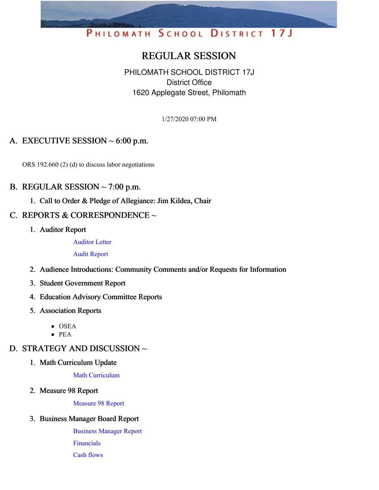# PHILOMATH SCHOOL DISTRICT 17J

# REGULAR SESSION

PHILOMATH SCHOOL DISTRICT 17J District Office 1620 Applegate Street, Philomath

1/27/2020 07:00 PM

### A. EXECUTIVE SESSION  $\sim 6:00$  p.m.

ORS 192.660 (2) (d) to discuss labor negotiations

#### B. REGULAR SESSION  $\sim$  7:00 p.m.

1. Call to Order & Pledge of Allegiance: Jim Kildea, Chair

#### C. REPORTS & CORRESPONDENCE ~

1. Auditor Report

[Auditor](https://app.eduportal.com/documents/view/740574) Letter

Audit [Report](https://app.eduportal.com/documents/view/740573)

- 2. Audience Introductions: Community Comments and/or Requests for Information
- 3. Student Government Report
- 4. Education Advisory Committee Reports
- 5. Association Reports
	- **OSEA**
	- PEA

# D. STRATEGY AND DISCUSSION ~

1. Math Curriculum Update

Math [Curriculum](https://app.eduportal.com/documents/view/740617)

2. Measure 98 Report

[Measure](https://app.eduportal.com/documents/view/740611) 98 Report

#### 3. Business Manager Board Report

[Business](https://app.eduportal.com/documents/view/740580) Manager Report [Financials](https://app.eduportal.com/documents/view/740559)

Cash [flows](https://app.eduportal.com/documents/view/740557)